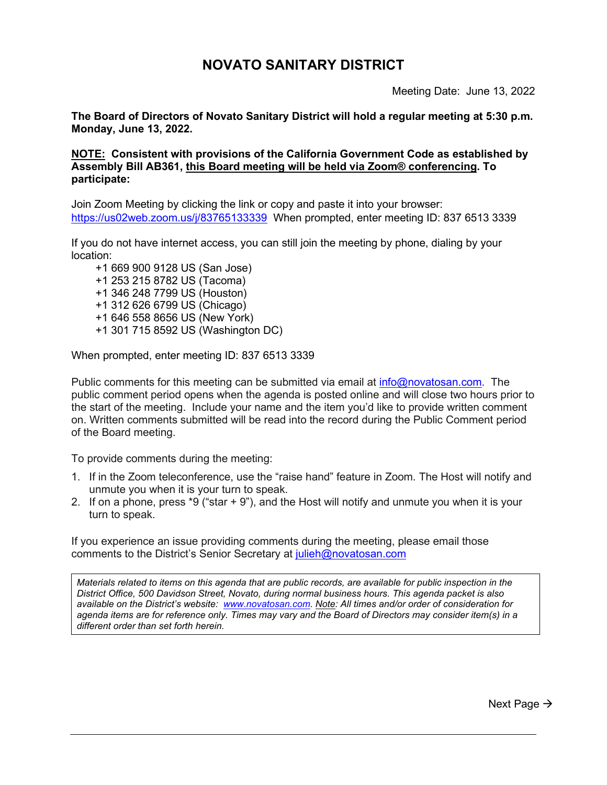# **NOVATO SANITARY DISTRICT**

Meeting Date: June 13, 2022

**The Board of Directors of Novato Sanitary District will hold a regular meeting at 5:30 p.m. Monday, June 13, 2022.**

**NOTE: Consistent with provisions of the California Government Code as established by Assembly Bill AB361, this Board meeting will be held via Zoom® conferencing. To participate:**

Join Zoom Meeting by clicking the link or copy and paste it into your browser: <https://us02web.zoom.us/j/83765133339>When prompted, enter meeting ID: 837 6513 3339

If you do not have internet access, you can still join the meeting by phone, dialing by your location:

 +1 669 900 9128 US (San Jose) +1 253 215 8782 US (Tacoma) +1 346 248 7799 US (Houston) +1 312 626 6799 US (Chicago) +1 646 558 8656 US (New York) +1 301 715 8592 US (Washington DC)

When prompted, enter meeting ID: 837 6513 3339

Public comments for this meeting can be submitted via email at  $info@$  novatosan.com. The public comment period opens when the agenda is posted online and will close two hours prior to the start of the meeting. Include your name and the item you'd like to provide written comment on. Written comments submitted will be read into the record during the Public Comment period of the Board meeting.

To provide comments during the meeting:

- 1. If in the Zoom teleconference, use the "raise hand" feature in Zoom. The Host will notify and unmute you when it is your turn to speak.
- 2. If on a phone, press \*9 ("star + 9"), and the Host will notify and unmute you when it is your turn to speak.

If you experience an issue providing comments during the meeting, please email those comments to the District's Senior Secretary at [julieh@novatosan.com](mailto:julieh@novatosan.com)

*Materials related to items on this agenda that are public records, are available for public inspection in the District Office, 500 Davidson Street, Novato, during normal business hours. This agenda packet is also available on the District's website: [www.novatosan.com.](http://www.novatosan.com/) Note: All times and/or order of consideration for agenda items are for reference only. Times may vary and the Board of Directors may consider item(s) in a different order than set forth herein.*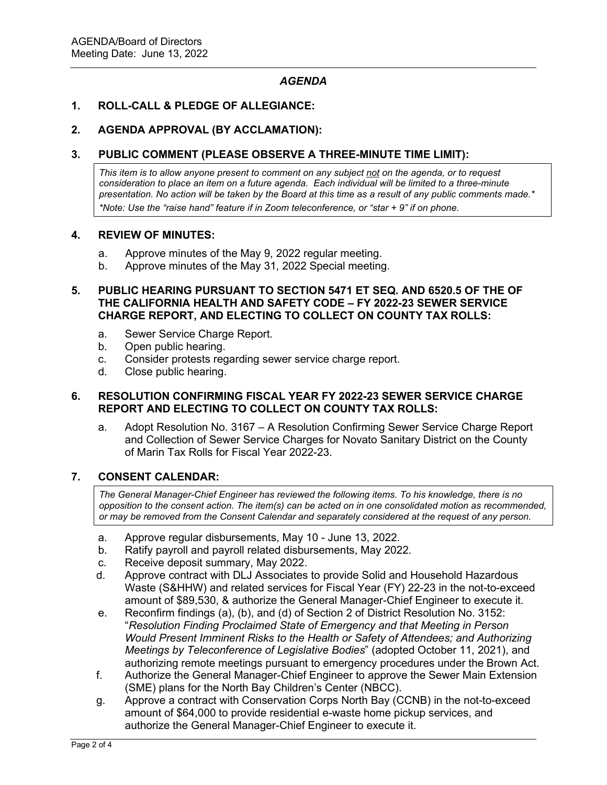# *AGENDA*

## **1. ROLL-CALL & PLEDGE OF ALLEGIANCE:**

#### **2. AGENDA APPROVAL (BY ACCLAMATION):**

## **3. PUBLIC COMMENT (PLEASE OBSERVE A THREE-MINUTE TIME LIMIT):**

*This item is to allow anyone present to comment on any subject not on the agenda, or to request consideration to place an item on a future agenda. Each individual will be limited to a three-minute presentation. No action will be taken by the Board at this time as a result of any public comments made.\* \*Note: Use the "raise hand" feature if in Zoom teleconference, or "star + 9" if on phone.*

## **4. REVIEW OF MINUTES:**

- a. Approve minutes of the May 9, 2022 regular meeting.
- b. Approve minutes of the May 31, 2022 Special meeting.

## **5. PUBLIC HEARING PURSUANT TO SECTION 5471 ET SEQ. AND 6520.5 OF THE OF THE CALIFORNIA HEALTH AND SAFETY CODE – FY 2022-23 SEWER SERVICE CHARGE REPORT, AND ELECTING TO COLLECT ON COUNTY TAX ROLLS:**

- a. Sewer Service Charge Report.
- b. Open public hearing.
- c. Consider protests regarding sewer service charge report.
- d. Close public hearing.

## **6. RESOLUTION CONFIRMING FISCAL YEAR FY 2022-23 SEWER SERVICE CHARGE REPORT AND ELECTING TO COLLECT ON COUNTY TAX ROLLS:**

a. Adopt Resolution No. 3167 – A Resolution Confirming Sewer Service Charge Report and Collection of Sewer Service Charges for Novato Sanitary District on the County of Marin Tax Rolls for Fiscal Year 2022-23.

#### **7. CONSENT CALENDAR:**

*The General Manager-Chief Engineer has reviewed the following items. To his knowledge, there is no opposition to the consent action. The item(s) can be acted on in one consolidated motion as recommended, or may be removed from the Consent Calendar and separately considered at the request of any person.*

- a. Approve regular disbursements, May 10 June 13, 2022.
- b. Ratify payroll and payroll related disbursements, May 2022.
- c. Receive deposit summary, May 2022.
- d. Approve contract with DLJ Associates to provide Solid and Household Hazardous Waste (S&HHW) and related services for Fiscal Year (FY) 22-23 in the not-to-exceed amount of \$89,530, & authorize the General Manager-Chief Engineer to execute it.
- e. Reconfirm findings (a), (b), and (d) of Section 2 of District Resolution No. 3152: "*Resolution Finding Proclaimed State of Emergency and that Meeting in Person Would Present Imminent Risks to the Health or Safety of Attendees; and Authorizing Meetings by Teleconference of Legislative Bodies*" (adopted October 11, 2021), and authorizing remote meetings pursuant to emergency procedures under the Brown Act.
- f. Authorize the General Manager-Chief Engineer to approve the Sewer Main Extension (SME) plans for the North Bay Children's Center (NBCC).
- g. Approve a contract with Conservation Corps North Bay (CCNB) in the not-to-exceed amount of \$64,000 to provide residential e-waste home pickup services, and authorize the General Manager-Chief Engineer to execute it.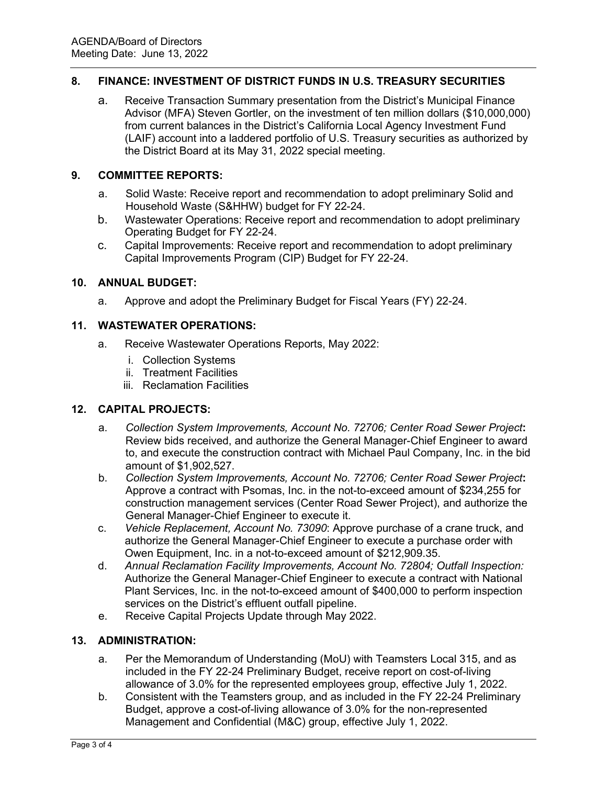# **8. FINANCE: INVESTMENT OF DISTRICT FUNDS IN U.S. TREASURY SECURITIES**

a. Receive Transaction Summary presentation from the District's Municipal Finance Advisor (MFA) Steven Gortler, on the investment of ten million dollars (\$10,000,000) from current balances in the District's California Local Agency Investment Fund (LAIF) account into a laddered portfolio of U.S. Treasury securities as authorized by the District Board at its May 31, 2022 special meeting.

# **9. COMMITTEE REPORTS:**

- a. Solid Waste: Receive report and recommendation to adopt preliminary Solid and Household Waste (S&HHW) budget for FY 22-24.
- b. Wastewater Operations: Receive report and recommendation to adopt preliminary Operating Budget for FY 22-24.
- c. Capital Improvements: Receive report and recommendation to adopt preliminary Capital Improvements Program (CIP) Budget for FY 22-24.

## **10. ANNUAL BUDGET:**

a. Approve and adopt the Preliminary Budget for Fiscal Years (FY) 22-24.

## **11. WASTEWATER OPERATIONS:**

- a. Receive Wastewater Operations Reports, May 2022:
	- i. Collection Systems
	- ii. Treatment Facilities
	- iii. Reclamation Facilities

# **12. CAPITAL PROJECTS:**

- a. *Collection System Improvements, Account No. 72706; Center Road Sewer Project***:** Review bids received, and authorize the General Manager-Chief Engineer to award to, and execute the construction contract with Michael Paul Company, Inc. in the bid amount of \$1,902,527.
- b. *Collection System Improvements, Account No. 72706; Center Road Sewer Project***:** Approve a contract with Psomas, Inc. in the not-to-exceed amount of \$234,255 for construction management services (Center Road Sewer Project), and authorize the General Manager-Chief Engineer to execute it.
- c. *Vehicle Replacement, Account No. 73090*: Approve purchase of a crane truck, and authorize the General Manager-Chief Engineer to execute a purchase order with Owen Equipment, Inc. in a not-to-exceed amount of \$212,909.35.
- d. *Annual Reclamation Facility Improvements, Account No. 72804; Outfall Inspection:* Authorize the General Manager-Chief Engineer to execute a contract with National Plant Services, Inc. in the not-to-exceed amount of \$400,000 to perform inspection services on the District's effluent outfall pipeline.
- e. Receive Capital Projects Update through May 2022.

# **13. ADMINISTRATION:**

- a. Per the Memorandum of Understanding (MoU) with Teamsters Local 315, and as included in the FY 22-24 Preliminary Budget, receive report on cost-of-living allowance of 3.0% for the represented employees group, effective July 1, 2022.
- b. Consistent with the Teamsters group, and as included in the FY 22-24 Preliminary Budget, approve a cost-of-living allowance of 3.0% for the non-represented Management and Confidential (M&C) group, effective July 1, 2022.